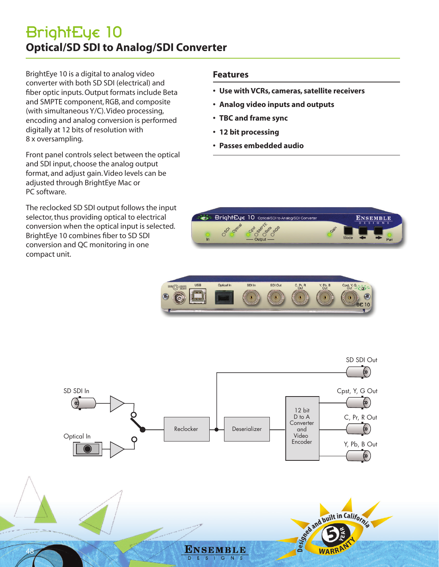## BrightEye 10 **Optical/SD SDI to Analog/SDI Converter**

BrightEye 10 is a digital to analog video converter with both SD SDI (electrical) and fiber optic inputs. Output formats include Beta and SMPTE component, RGB, and composite (with simultaneous Y/C). Video processing, encoding and analog conversion is performed digitally at 12 bits of resolution with 8 x oversampling.

Front panel controls select between the optical and SDI input, choose the analog output format, and adjust gain. Video levels can be adjusted through BrightEye Mac or PC software.

The reclocked SD SDI output follows the input selector, thus providing optical to electrical conversion when the optical input is selected. BrightEye 10 combines fiber to SD SDI conversion and QC monitoring in one compact unit.

48

### **Features**

- **• Use with VCRs, cameras, satellite receivers**
- **• Analog video inputs and outputs**
- **• TBC and frame sync**
- **• 12 bit processing**
- **• Passes embedded audio**







ENSEMBLE

 $N S$ 

E  $S$  $\vert$  G See and built in California